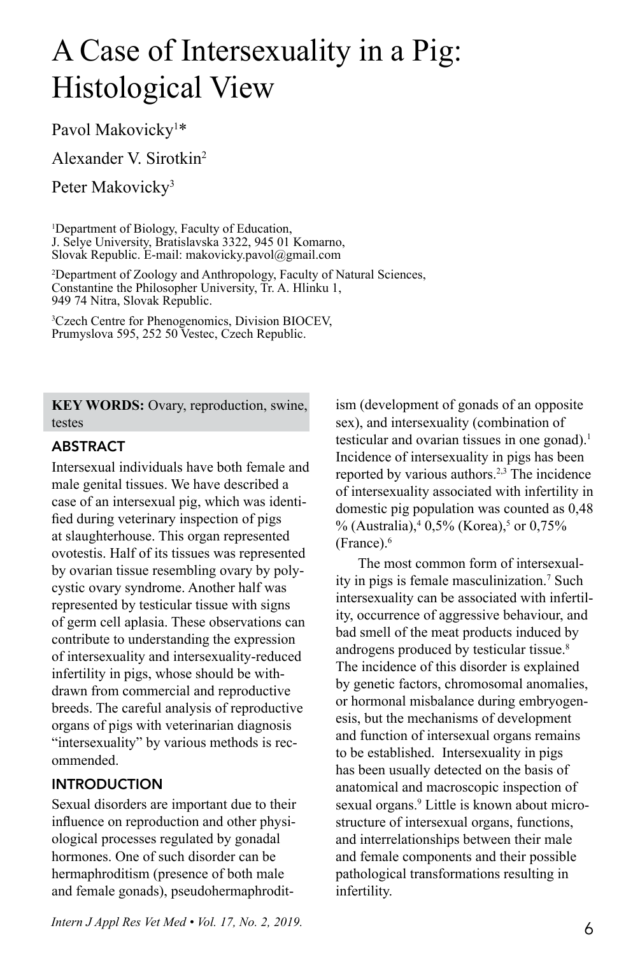# A Case of Intersexuality in a Pig: Histological View

Pavol Makovicky<sup>1\*</sup>

Alexander V. Sirotkin2

Peter Makovicky<sup>3</sup>

1 Department of Biology, Faculty of Education, J. Selye University, Bratislavska 3322, 945 01 Komarno, Slovak Republic. E-mail: makovicky.pavol@gmail.com

2 Department of Zoology and Anthropology, Faculty of Natural Sciences, Constantine the Philosopher University, Tr. A. Hlinku 1, 949 74 Nitra, Slovak Republic.

3 Czech Centre for Phenogenomics, Division BIOCEV, Prumyslova 595, 252 50 Vestec, Czech Republic.

**KEY WORDS:** Ovary, reproduction, swine, testes

#### **ABSTRACT**

Intersexual individuals have both female and male genital tissues. We have described a case of an intersexual pig, which was identified during veterinary inspection of pigs at slaughterhouse. This organ represented ovotestis. Half of its tissues was represented by ovarian tissue resembling ovary by polycystic ovary syndrome. Another half was represented by testicular tissue with signs of germ cell aplasia. These observations can contribute to understanding the expression of intersexuality and intersexuality-reduced infertility in pigs, whose should be withdrawn from commercial and reproductive breeds. The careful analysis of reproductive organs of pigs with veterinarian diagnosis "intersexuality" by various methods is recommended.

# INTRODUCTION

Sexual disorders are important due to their influence on reproduction and other physiological processes regulated by gonadal hormones. One of such disorder can be hermaphroditism (presence of both male and female gonads), pseudohermaphroditism (development of gonads of an opposite sex), and intersexuality (combination of testicular and ovarian tissues in one gonad).<sup>1</sup> Incidence of intersexuality in pigs has been reported by various authors.2,3 The incidence of intersexuality associated with infertility in domestic pig population was counted as 0,48 % (Australia),  $4.0,5\%$  (Korea),  $5 \text{ or } 0,75\%$ (France).6

The most common form of intersexuality in pigs is female masculinization.7 Such intersexuality can be associated with infertility, occurrence of aggressive behaviour, and bad smell of the meat products induced by androgens produced by testicular tissue.8 The incidence of this disorder is explained by genetic factors, chromosomal anomalies, or hormonal misbalance during embryogenesis, but the mechanisms of development and function of intersexual organs remains to be established. Intersexuality in pigs has been usually detected on the basis of anatomical and macroscopic inspection of sexual organs.<sup>9</sup> Little is known about microstructure of intersexual organs, functions, and interrelationships between their male and female components and their possible pathological transformations resulting in infertility.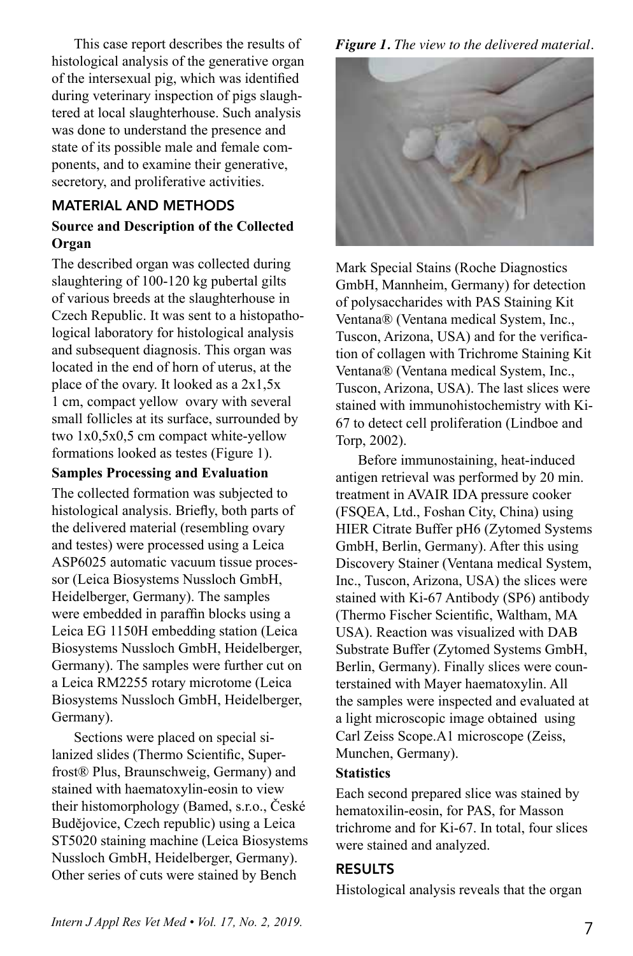This case report describes the results of histological analysis of the generative organ of the intersexual pig, which was identified during veterinary inspection of pigs slaughtered at local slaughterhouse. Such analysis was done to understand the presence and state of its possible male and female components, and to examine their generative, secretory, and proliferative activities.

# MATERIAL AND METHODS

# **Source and Description of the Collected Organ**

The described organ was collected during slaughtering of 100-120 kg pubertal gilts of various breeds at the slaughterhouse in Czech Republic. It was sent to a histopathological laboratory for histological analysis and subsequent diagnosis. This organ was located in the end of horn of uterus, at the place of the ovary. It looked as a 2x1,5x 1 cm, compact yellow ovary with several small follicles at its surface, surrounded by two 1x0,5x0,5 cm compact white-yellow formations looked as testes (Figure 1).

#### **Samples Processing and Evaluation**

The collected formation was subjected to histological analysis. Briefly, both parts of the delivered material (resembling ovary and testes) were processed using a Leica ASP6025 automatic vacuum tissue processor (Leica Biosystems Nussloch GmbH, Heidelberger, Germany). The samples were embedded in paraffin blocks using a Leica EG 1150H embedding station (Leica Biosystems Nussloch GmbH, Heidelberger, Germany). The samples were further cut on a Leica RM2255 rotary microtome (Leica Biosystems Nussloch GmbH, Heidelberger, Germany).

Sections were placed on special silanized slides (Thermo Scientific, Superfrost® Plus, Braunschweig, Germany) and stained with haematoxylin-eosin to view their histomorphology (Bamed, s.r.o., České Budějovice, Czech republic) using a Leica ST5020 staining machine (Leica Biosystems Nussloch GmbH, Heidelberger, Germany). Other series of cuts were stained by Bench

*Figure 1. The view to the delivered material.* 



Mark Special Stains (Roche Diagnostics GmbH, Mannheim, Germany) for detection of polysaccharides with PAS Staining Kit Ventana® (Ventana medical System, Inc., Tuscon, Arizona, USA) and for the verification of collagen with Trichrome Staining Kit Ventana® (Ventana medical System, Inc., Tuscon, Arizona, USA). The last slices were stained with immunohistochemistry with Ki-67 to detect cell proliferation (Lindboe and Torp, 2002).

Before immunostaining, heat-induced antigen retrieval was performed by 20 min. treatment in AVAIR IDA pressure cooker (FSQEA, Ltd., Foshan City, China) using HIER Citrate Buffer pH6 (Zytomed Systems GmbH, Berlin, Germany). After this using Discovery Stainer (Ventana medical System, Inc., Tuscon, Arizona, USA) the slices were stained with Ki-67 Antibody (SP6) antibody (Thermo Fischer Scientific, Waltham, MA USA). Reaction was visualized with DAB Substrate Buffer (Zytomed Systems GmbH, Berlin, Germany). Finally slices were counterstained with Mayer haematoxylin. All the samples were inspected and evaluated at a light microscopic image obtained using Carl Zeiss Scope.A1 microscope (Zeiss, Munchen, Germany).

## **Statistics**

Each second prepared slice was stained by hematoxilin-eosin, for PAS, for Masson trichrome and for Ki-67. In total, four slices were stained and analyzed.

## RESULTS

Histological analysis reveals that the organ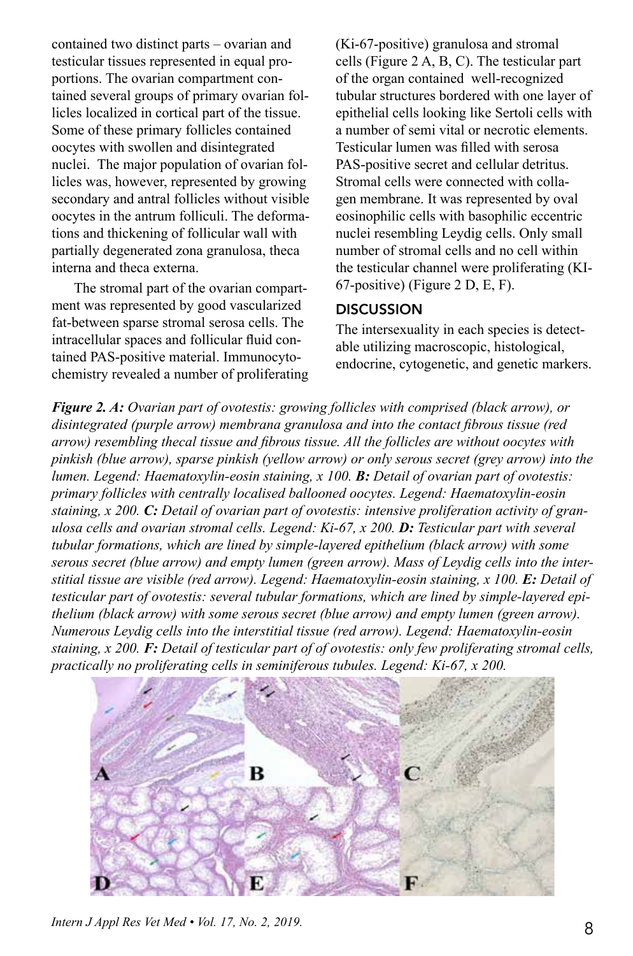contained two distinct parts – ovarian and testicular tissues represented in equal proportions. The ovarian compartment contained several groups of primary ovarian follicles localized in cortical part of the tissue. Some of these primary follicles contained oocytes with swollen and disintegrated nuclei. The major population of ovarian follicles was, however, represented by growing secondary and antral follicles without visible oocytes in the antrum folliculi. The deformations and thickening of follicular wall with partially degenerated zona granulosa, theca interna and theca externa.

The stromal part of the ovarian compartment was represented by good vascularized fat-between sparse stromal serosa cells. The intracellular spaces and follicular fluid contained PAS-positive material. Immunocytochemistry revealed a number of proliferating (Ki-67-positive) granulosa and stromal cells (Figure 2 A, B, C). The testicular part of the organ contained well-recognized tubular structures bordered with one layer of epithelial cells looking like Sertoli cells with a number of semi vital or necrotic elements. Testicular lumen was filled with serosa PAS-positive secret and cellular detritus. Stromal cells were connected with collagen membrane. It was represented by oval eosinophilic cells with basophilic eccentric nuclei resembling Leydig cells. Only small number of stromal cells and no cell within the testicular channel were proliferating (KI-67-positive) (Figure 2 D, E, F).

#### **DISCUSSION**

The intersexuality in each species is detectable utilizing macroscopic, histological, endocrine, cytogenetic, and genetic markers.

*Figure 2. A: Ovarian part of ovotestis: growing follicles with comprised (black arrow), or disintegrated (purple arrow) membrana granulosa and into the contact fibrous tissue (red arrow) resembling thecal tissue and fibrous tissue. All the follicles are without oocytes with pinkish (blue arrow), sparse pinkish (yellow arrow) or only serous secret (grey arrow) into the lumen. Legend: Haematoxylin-eosin staining, x 100. B: Detail of ovarian part of ovotestis: primary follicles with centrally localised ballooned oocytes. Legend: Haematoxylin-eosin staining, x 200. C: Detail of ovarian part of ovotestis: intensive proliferation activity of granulosa cells and ovarian stromal cells. Legend: Ki-67, x 200. D: Testicular part with several tubular formations, which are lined by simple-layered epithelium (black arrow) with some serous secret (blue arrow) and empty lumen (green arrow). Mass of Leydig cells into the interstitial tissue are visible (red arrow). Legend: Haematoxylin-eosin staining, x 100. E: Detail of testicular part of ovotestis: several tubular formations, which are lined by simple-layered epithelium (black arrow) with some serous secret (blue arrow) and empty lumen (green arrow). Numerous Leydig cells into the interstitial tissue (red arrow). Legend: Haematoxylin-eosin staining, x 200. F: Detail of testicular part of of ovotestis: only few proliferating stromal cells, practically no proliferating cells in seminiferous tubules. Legend: Ki-67, x 200.* 



*Intern J Appl Res Vet Med • Vol. 17, No. 2, 2019.* 8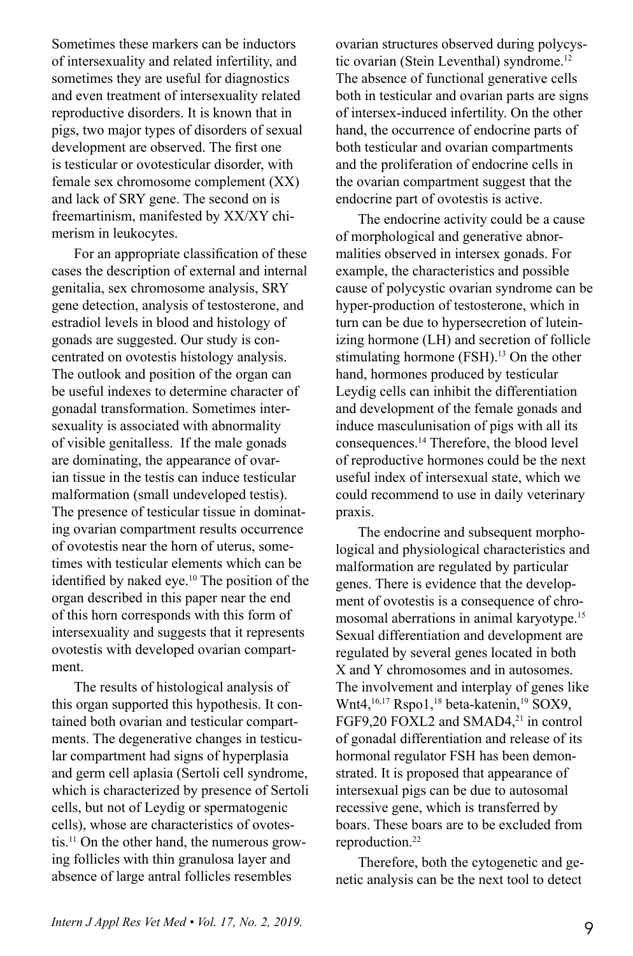Sometimes these markers can be inductors of intersexuality and related infertility, and sometimes they are useful for diagnostics and even treatment of intersexuality related reproductive disorders. It is known that in pigs, two major types of disorders of sexual development are observed. The first one is testicular or ovotesticular disorder, with female sex chromosome complement (XX) and lack of SRY gene. The second on is freemartinism, manifested by XX/XY chimerism in leukocytes.

For an appropriate classification of these cases the description of external and internal genitalia, sex chromosome analysis, SRY gene detection, analysis of testosterone, and estradiol levels in blood and histology of gonads are suggested. Our study is concentrated on ovotestis histology analysis. The outlook and position of the organ can be useful indexes to determine character of gonadal transformation. Sometimes intersexuality is associated with abnormality of visible genitalless. If the male gonads are dominating, the appearance of ovarian tissue in the testis can induce testicular malformation (small undeveloped testis). The presence of testicular tissue in dominating ovarian compartment results occurrence of ovotestis near the horn of uterus, sometimes with testicular elements which can be identified by naked eye.<sup>10</sup> The position of the organ described in this paper near the end of this horn corresponds with this form of intersexuality and suggests that it represents ovotestis with developed ovarian compartment.

The results of histological analysis of this organ supported this hypothesis. It contained both ovarian and testicular compartments. The degenerative changes in testicular compartment had signs of hyperplasia and germ cell aplasia (Sertoli cell syndrome, which is characterized by presence of Sertoli cells, but not of Leydig or spermatogenic cells), whose are characteristics of ovotestis.11 On the other hand, the numerous growing follicles with thin granulosa layer and absence of large antral follicles resembles

ovarian structures observed during polycystic ovarian (Stein Leventhal) syndrome.12 The absence of functional generative cells both in testicular and ovarian parts are signs of intersex-induced infertility. On the other hand, the occurrence of endocrine parts of both testicular and ovarian compartments and the proliferation of endocrine cells in the ovarian compartment suggest that the endocrine part of ovotestis is active.

The endocrine activity could be a cause of morphological and generative abnormalities observed in intersex gonads. For example, the characteristics and possible cause of polycystic ovarian syndrome can be hyper-production of testosterone, which in turn can be due to hypersecretion of luteinizing hormone (LH) and secretion of follicle stimulating hormone (FSH).<sup>13</sup> On the other hand, hormones produced by testicular Leydig cells can inhibit the differentiation and development of the female gonads and induce masculunisation of pigs with all its consequences.14 Therefore, the blood level of reproductive hormones could be the next useful index of intersexual state, which we could recommend to use in daily veterinary praxis.

The endocrine and subsequent morphological and physiological characteristics and malformation are regulated by particular genes. There is evidence that the development of ovotestis is a consequence of chromosomal aberrations in animal karyotype.15 Sexual differentiation and development are regulated by several genes located in both X and Y chromosomes and in autosomes. The involvement and interplay of genes like Wnt4,<sup>16,17</sup> Rspo1,<sup>18</sup> beta-katenin,<sup>19</sup> SOX9, FGF9,20 FOXL2 and SMAD4,<sup>21</sup> in control of gonadal differentiation and release of its hormonal regulator FSH has been demonstrated. It is proposed that appearance of intersexual pigs can be due to autosomal recessive gene, which is transferred by boars. These boars are to be excluded from reproduction.<sup>22</sup>

Therefore, both the cytogenetic and genetic analysis can be the next tool to detect